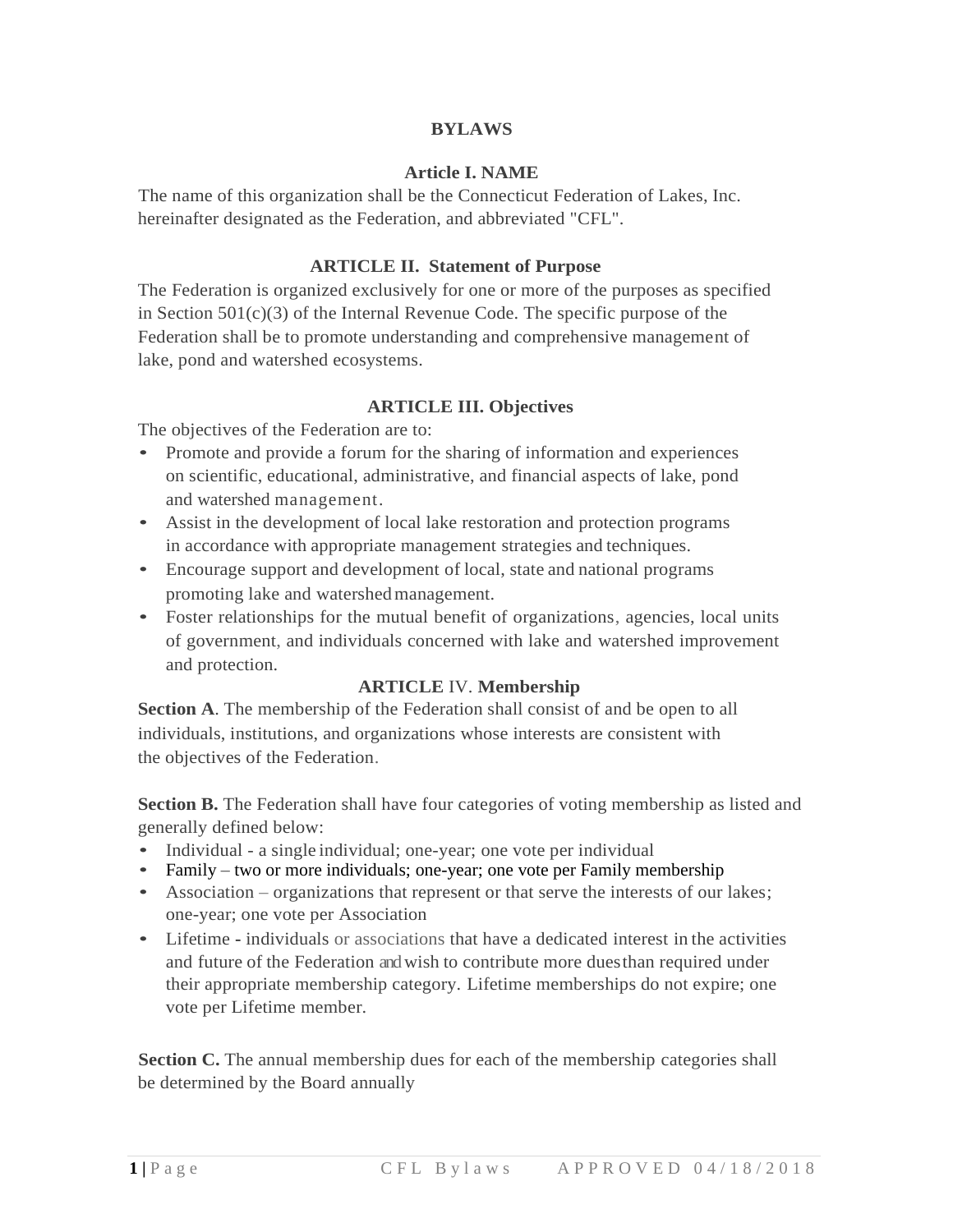## **BYLAWS**

### **Article I. NAME**

The name of this organization shall be the Connecticut Federation of Lakes, Inc. hereinafter designated as the Federation, and abbreviated "CFL".

### **ARTICLE II. Statement of Purpose**

The Federation is organized exclusively for one or more of the purposes as specified in Section  $501(c)(3)$  of the Internal Revenue Code. The specific purpose of the Federation shall be to promote understanding and comprehensive management of lake, pond and watershed ecosystems.

#### **ARTICLE III. Objectives**

The objectives of the Federation are to:

- Promote and provide a forum for the sharing of information and experiences on scientific, educational, administrative, and financial aspects of lake, pond and watershed management.
- Assist in the development of local lake restoration and protection programs in accordance with appropriate management strategies and techniques.
- Encourage support and development of local, state and national programs promoting lake and watershedmanagement.
- Foster relationships for the mutual benefit of organizations, agencies, local units of government, and individuals concerned with lake and watershed improvement and protection.

### **ARTICLE** IV. **Membership**

**Section A**. The membership of the Federation shall consist of and be open to all individuals, institutions, and organizations whose interests are consistent with the objectives of the Federation.

**Section B.** The Federation shall have four categories of voting membership as listed and generally defined below:

- Individual a single individual; one-year; one vote per individual
- Family two or more individuals; one-year; one vote per Family membership
- Association organizations that represent or that serve the interests of our lakes; one-year; one vote per Association
- Lifetime individuals or associations that have a dedicated interest in the activities and future of the Federation andwish to contribute more duesthan required under their appropriate membership category. Lifetime memberships do not expire; one vote per Lifetime member.

**Section C.** The annual membership dues for each of the membership categories shall be determined by the Board annually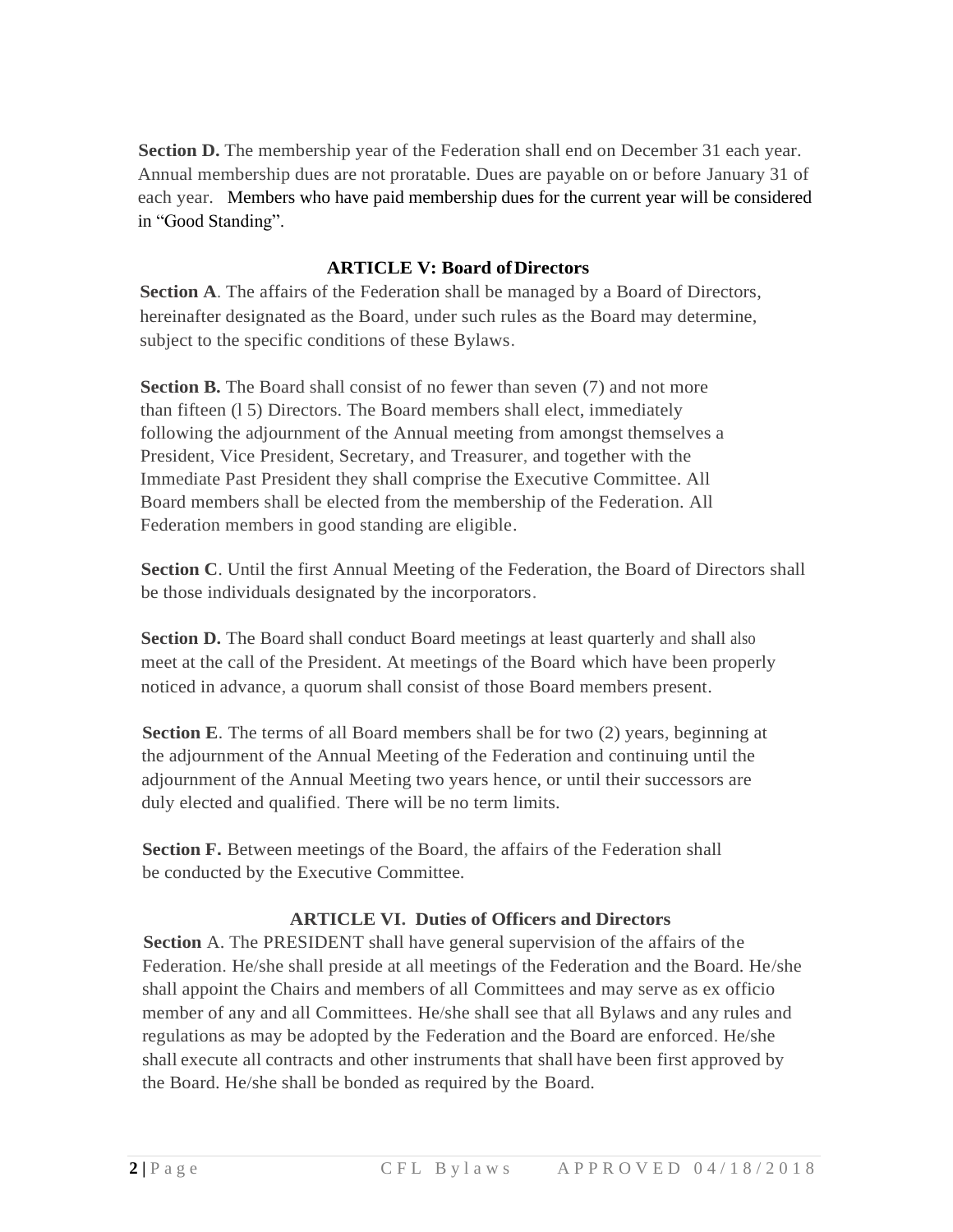**Section D.** The membership year of the Federation shall end on December 31 each year. Annual membership dues are not proratable. Dues are payable on or before January 31 of each year. Members who have paid membership dues for the current year will be considered in "Good Standing".

# **ARTICLE V: Board ofDirectors**

**Section A**. The affairs of the Federation shall be managed by a Board of Directors, hereinafter designated as the Board, under such rules as the Board may determine, subject to the specific conditions of these Bylaws.

**Section B.** The Board shall consist of no fewer than seven (7) and not more than fifteen (l 5) Directors. The Board members shall elect, immediately following the adjournment of the Annual meeting from amongst themselves a President, Vice President, Secretary, and Treasurer, and together with the Immediate Past President they shall comprise the Executive Committee. All Board members shall be elected from the membership of the Federation. All Federation members in good standing are eligible.

**Section C**. Until the first Annual Meeting of the Federation, the Board of Directors shall be those individuals designated by the incorporators.

**Section D.** The Board shall conduct Board meetings at least quarterly and shall also meet at the call of the President. At meetings of the Board which have been properly noticed in advance, a quorum shall consist of those Board members present.

**Section E**. The terms of all Board members shall be for two (2) years, beginning at the adjournment of the Annual Meeting of the Federation and continuing until the adjournment of the Annual Meeting two years hence, or until their successors are duly elected and qualified. There will be no term limits.

**Section F.** Between meetings of the Board, the affairs of the Federation shall be conducted by the Executive Committee.

# **ARTICLE VI. Duties of Officers and Directors**

**Section** A. The PRESIDENT shall have general supervision of the affairs of the Federation. He/she shall preside at all meetings of the Federation and the Board. He/she shall appoint the Chairs and members of all Committees and may serve as ex officio member of any and all Committees. He/she shall see that all Bylaws and any rules and regulations as may be adopted by the Federation and the Board are enforced. He/she shall execute all contracts and other instruments that shall have been first approved by the Board. He/she shall be bonded as required by the Board.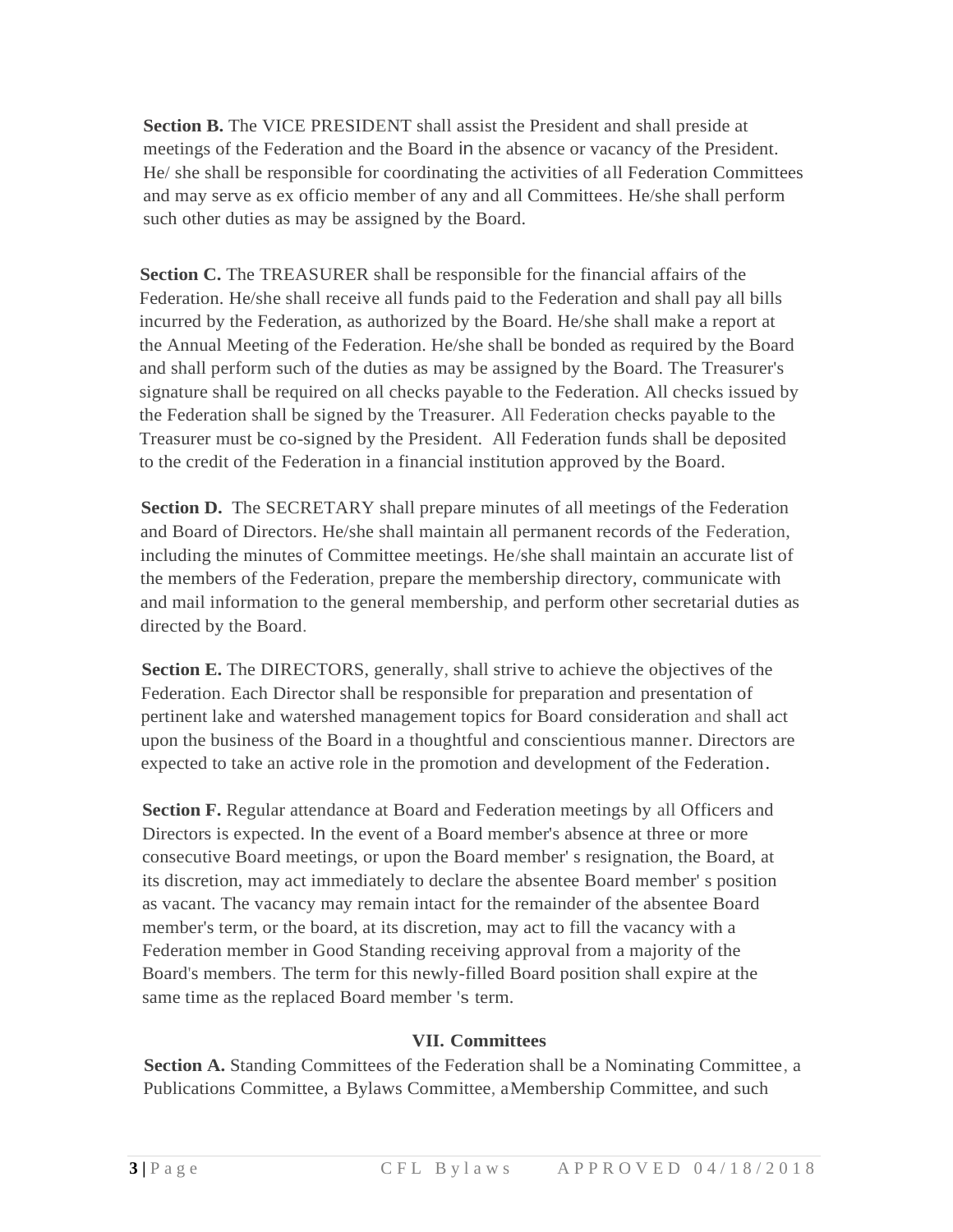**Section B.** The VICE PRESIDENT shall assist the President and shall preside at meetings of the Federation and the Board in the absence or vacancy of the President. He/ she shall be responsible for coordinating the activities of all Federation Committees and may serve as ex officio member of any and all Committees. He/she shall perform such other duties as may be assigned by the Board.

**Section C.** The TREASURER shall be responsible for the financial affairs of the Federation. He/she shall receive all funds paid to the Federation and shall pay all bills incurred by the Federation, as authorized by the Board. He/she shall make a report at the Annual Meeting of the Federation. He/she shall be bonded as required by the Board and shall perform such of the duties as may be assigned by the Board. The Treasurer's signature shall be required on all checks payable to the Federation. All checks issued by the Federation shall be signed by the Treasurer. All Federation checks payable to the Treasurer must be co-signed by the President. All Federation funds shall be deposited to the credit of the Federation in a financial institution approved by the Board.

**Section D.** The SECRETARY shall prepare minutes of all meetings of the Federation and Board of Directors. He/she shall maintain all permanent records of the Federation, including the minutes of Committee meetings. He/she shall maintain an accurate list of the members of the Federation, prepare the membership directory, communicate with and mail information to the general membership, and perform other secretarial duties as directed by the Board.

**Section E.** The DIRECTORS, generally, shall strive to achieve the objectives of the Federation. Each Director shall be responsible for preparation and presentation of pertinent lake and watershed management topics for Board consideration and shall act upon the business of the Board in a thoughtful and conscientious manner. Directors are expected to take an active role in the promotion and development of the Federation.

**Section F.** Regular attendance at Board and Federation meetings by all Officers and Directors is expected. In the event of a Board member's absence at three or more consecutive Board meetings, or upon the Board member' s resignation, the Board, at its discretion, may act immediately to declare the absentee Board member' s position as vacant. The vacancy may remain intact for the remainder of the absentee Board member's term, or the board, at its discretion, may act to fill the vacancy with a Federation member in Good Standing receiving approval from a majority of the Board's members. The term for this newly-filled Board position shall expire at the same time as the replaced Board member 's term.

### **VII. Committees**

**Section A.** Standing Committees of the Federation shall be a Nominating Committee, a Publications Committee, a Bylaws Committee, aMembership Committee, and such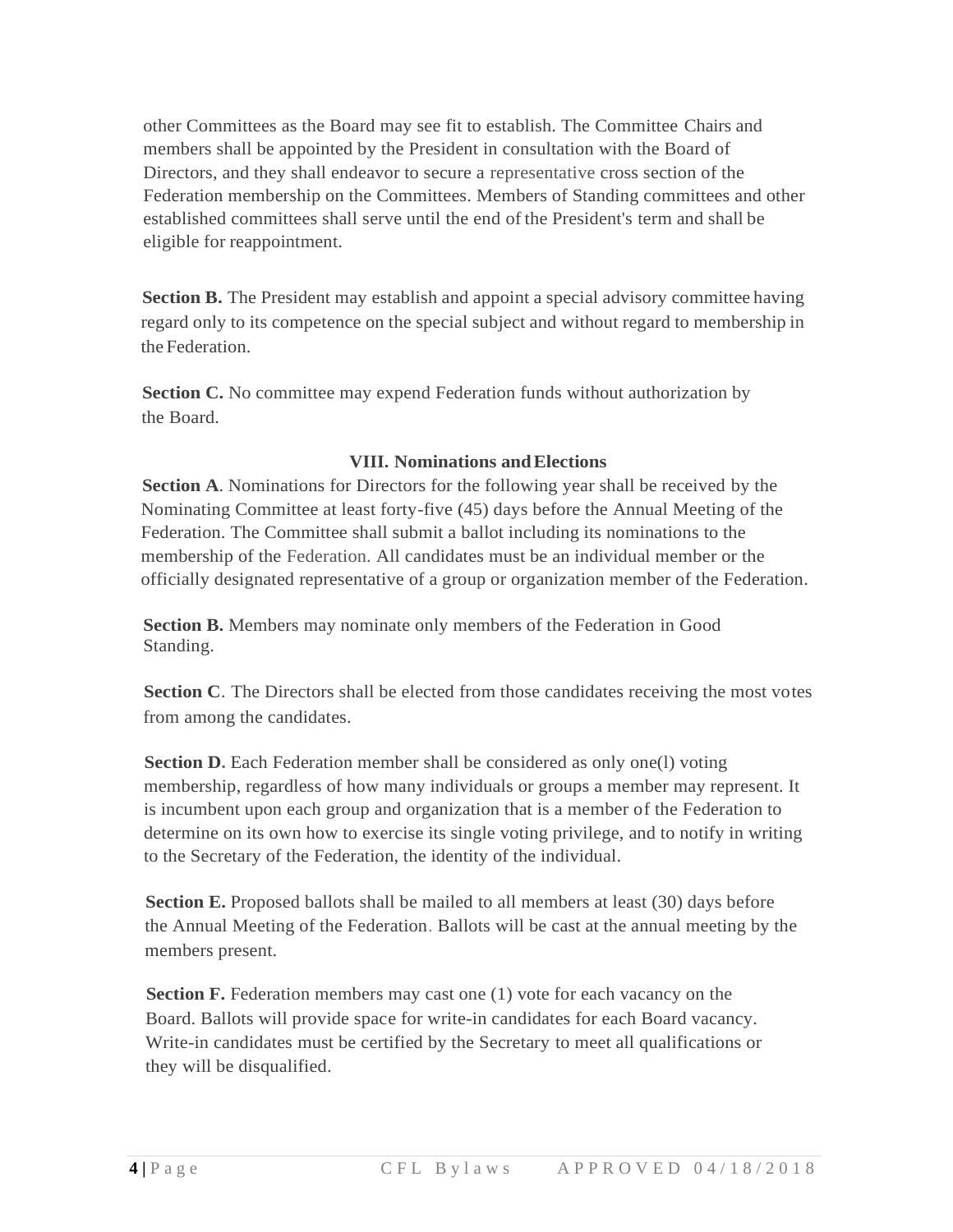other Committees as the Board may see fit to establish. The Committee Chairs and members shall be appointed by the President in consultation with the Board of Directors, and they shall endeavor to secure a representative cross section of the Federation membership on the Committees. Members of Standing committees and other established committees shall serve until the end of the President's term and shall be eligible for reappointment.

**Section B.** The President may establish and appoint a special advisory committee having regard only to its competence on the special subject and without regard to membership in the Federation.

**Section C.** No committee may expend Federation funds without authorization by the Board.

## **VIII. Nominations andElections**

**Section A**. Nominations for Directors for the following year shall be received by the Nominating Committee at least forty-five (45) days before the Annual Meeting of the Federation. The Committee shall submit a ballot including its nominations to the membership of the Federation. All candidates must be an individual member or the officially designated representative of a group or organization member of the Federation.

**Section B.** Members may nominate only members of the Federation in Good Standing.

**Section C**. The Directors shall be elected from those candidates receiving the most votes from among the candidates.

**Section D.** Each Federation member shall be considered as only one(1) voting membership, regardless of how many individuals or groups a member may represent. It is incumbent upon each group and organization that is a member of the Federation to determine on its own how to exercise its single voting privilege, and to notify in writing to the Secretary of the Federation, the identity of the individual.

**Section E.** Proposed ballots shall be mailed to all members at least (30) days before the Annual Meeting of the Federation. Ballots will be cast at the annual meeting by the members present.

**Section F.** Federation members may cast one (1) vote for each vacancy on the Board. Ballots will provide space for write-in candidates for each Board vacancy. Write-in candidates must be certified by the Secretary to meet all qualifications or they will be disqualified.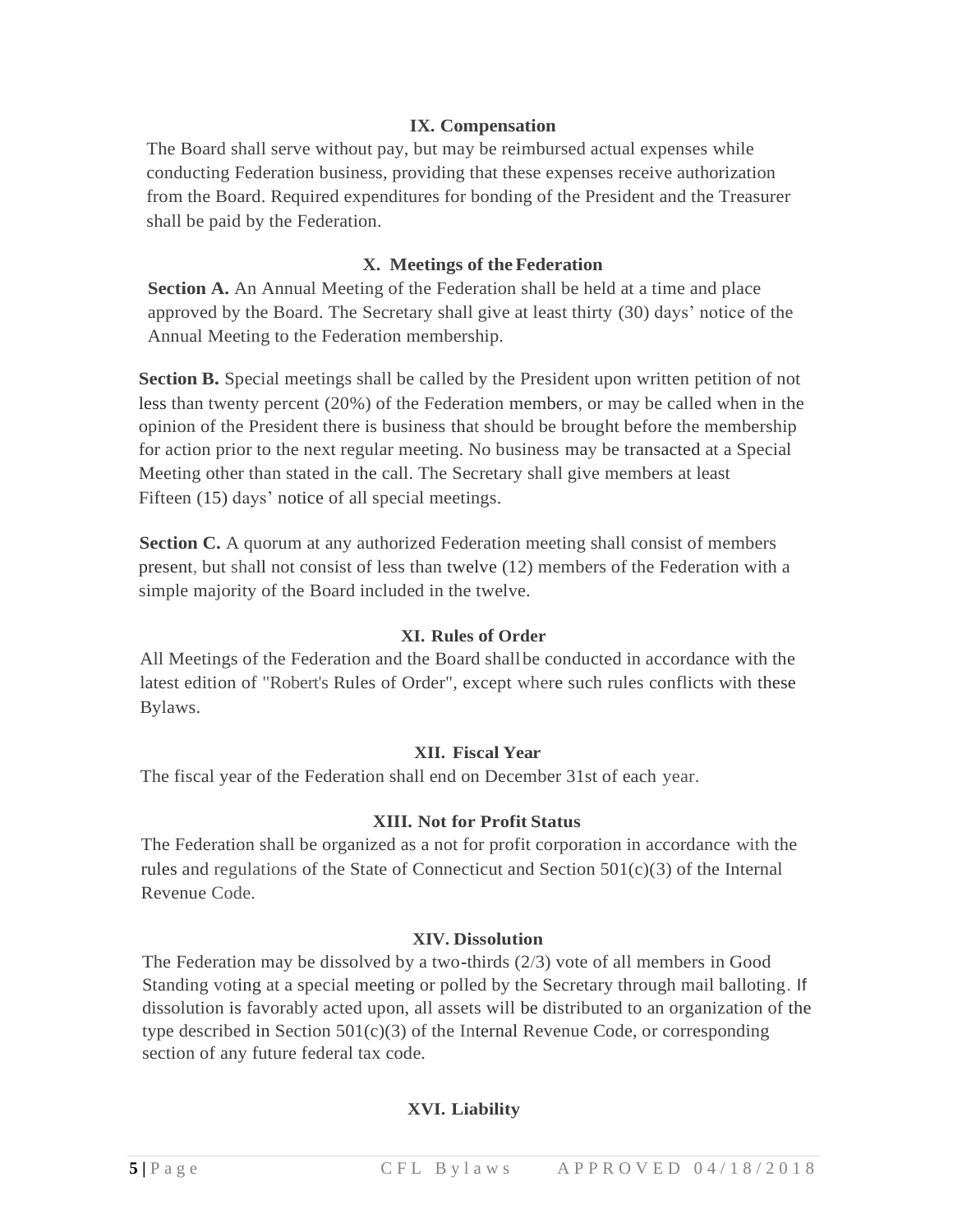# **IX. Compensation**

The Board shall serve without pay, but may be reimbursed actual expenses while conducting Federation business, providing that these expenses receive authorization from the Board. Required expenditures for bonding of the President and the Treasurer shall be paid by the Federation.

## **X. Meetings of theFederation**

**Section A.** An Annual Meeting of the Federation shall be held at a time and place approved by the Board. The Secretary shall give at least thirty (30) days' notice of the Annual Meeting to the Federation membership.

**Section B.** Special meetings shall be called by the President upon written petition of not less than twenty percent (20%) of the Federation members, or may be called when in the opinion of the President there is business that should be brought before the membership for action prior to the next regular meeting. No business may be transacted at a Special Meeting other than stated in the call. The Secretary shall give members at least Fifteen (15) days' notice of all special meetings.

**Section C.** A quorum at any authorized Federation meeting shall consist of members present, but shall not consist of less than twelve (12) members of the Federation with a simple majority of the Board included in the twelve.

### **XI. Rules of Order**

All Meetings of the Federation and the Board shallbe conducted in accordance with the latest edition of "Robert's Rules of Order", except where such rules conflicts with these Bylaws.

### **XII. Fiscal Year**

The fiscal year of the Federation shall end on December 31st of each year.

### **XIII. Not for Profit Status**

The Federation shall be organized as a not for profit corporation in accordance with the rules and regulations of the State of Connecticut and Section 501(c)(3) of the Internal Revenue Code.

#### **XIV. Dissolution**

The Federation may be dissolved by a two-thirds (2/3) vote of all members in Good Standing voting at a special meeting or polled by the Secretary through mail balloting. If dissolution is favorably acted upon, all assets will be distributed to an organization of the type described in Section  $501(c)(3)$  of the Internal Revenue Code, or corresponding section of any future federal tax code.

### **XVI. Liability**